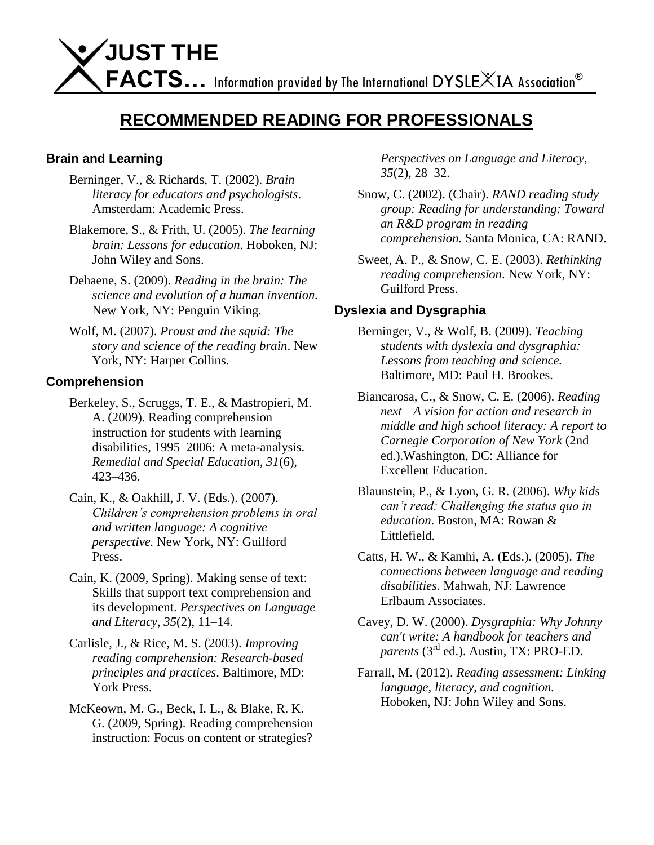

# **RECOMMENDED READING FOR PROFESSIONALS**

#### **Brain and Learning**

- Berninger, V., & Richards, T. (2002). *Brain literacy for educators and psychologists*. Amsterdam: Academic Press.
- Blakemore, S., & Frith, U. (2005). *The learning brain: Lessons for education*. Hoboken, NJ: John Wiley and Sons.
- Dehaene, S. (2009). *Reading in the brain: The science and evolution of a human invention.* New York, NY: Penguin Viking.
- Wolf, M. (2007). *Proust and the squid: The story and science of the reading brain*. New York, NY: Harper Collins.

### **Comprehension**

- Berkeley, S., Scruggs, T. E., & Mastropieri, M. A. (2009). Reading comprehension instruction for students with learning disabilities, 1995–2006: A meta-analysis. *Remedial and Special Education, 31*(6)*,*  423–436*.*
- Cain, K., & Oakhill, J. V. (Eds.). (2007). *Children's comprehension problems in oral and written language: A cognitive perspective.* New York, NY: Guilford Press.
- Cain, K. (2009, Spring). Making sense of text: Skills that support text comprehension and its development. *Perspectives on Language and Literacy, 35*(2), 11–14.
- Carlisle, J., & Rice, M. S. (2003). *Improving reading comprehension: Research-based principles and practices*. Baltimore, MD: York Press.
- McKeown, M. G., Beck, I. L., & Blake, R. K. G. (2009, Spring). Reading comprehension instruction: Focus on content or strategies?

*Perspectives on Language and Literacy, 35*(2), 28–32.

Snow, C. (2002). (Chair). *RAND reading study group: Reading for understanding: Toward an R&D program in reading comprehension.* Santa Monica, CA: RAND.

Sweet, A. P., & Snow, C. E. (2003). *Rethinking reading comprehension*. New York, NY: Guilford Press.

### **Dyslexia and Dysgraphia**

- Berninger, V., & Wolf, B. (2009). *Teaching students with dyslexia and dysgraphia: Lessons from teaching and science.* Baltimore, MD: Paul H. Brookes.
- Biancarosa, C., & Snow, C. E. (2006). *Reading next—A vision for action and research in middle and high school literacy: A report to Carnegie Corporation of New York* (2nd ed.).Washington, DC: Alliance for Excellent Education.
- Blaunstein, P., & Lyon, G. R. (2006). *Why kids can't read: Challenging the status quo in education*. Boston, MA: Rowan & Littlefield.
- Catts, H. W., & Kamhi, A. (Eds.). (2005). *The connections between language and reading disabilities.* Mahwah, NJ: Lawrence Erlbaum Associates.
- Cavey, D. W. (2000). *Dysgraphia: Why Johnny can't write: A handbook for teachers and parents* (3<sup>rd</sup> ed.). Austin, TX: PRO-ED.
- Farrall, M. (2012). *Reading assessment: Linking language, literacy, and cognition.*  Hoboken, NJ: John Wiley and Sons.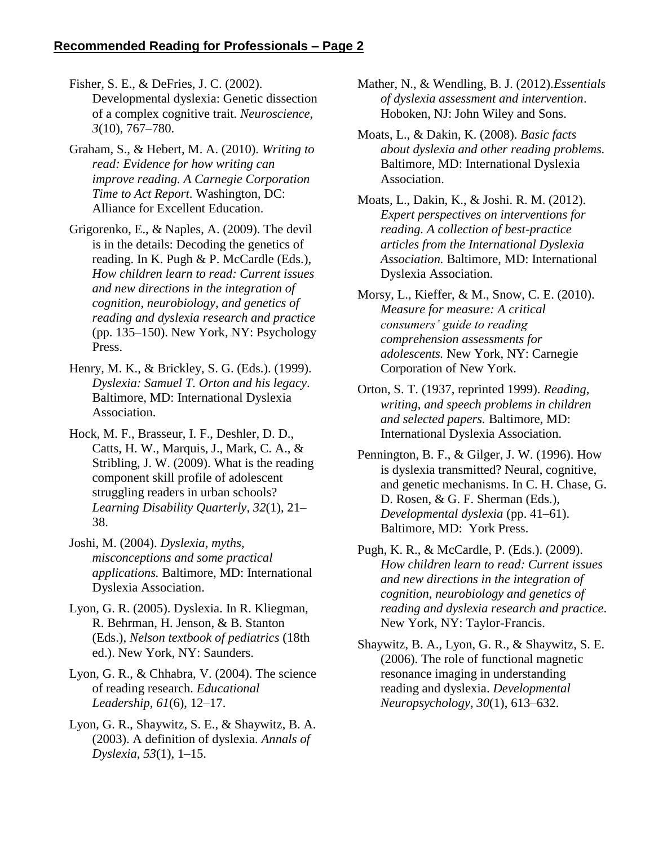Fisher, S. E., & DeFries, J. C. (2002). Developmental dyslexia: Genetic dissection of a complex cognitive trait. *Neuroscience, 3*(10), 767–780.

- Graham, S., & Hebert, M. A. (2010). *Writing to read: Evidence for how writing can improve reading. A Carnegie Corporation Time to Act Report*. Washington, DC: Alliance for Excellent Education.
- Grigorenko, E., & Naples, A. (2009). The devil is in the details: Decoding the genetics of reading. In K. Pugh & P. McCardle (Eds.), *How children learn to read: Current issues and new directions in the integration of cognition, neurobiology, and genetics of reading and dyslexia research and practice*  (pp. 135–150). New York, NY: Psychology Press.
- Henry, M. K., & Brickley, S. G. (Eds.). (1999). *Dyslexia: Samuel T. Orton and his legacy*. Baltimore, MD: International Dyslexia Association.
- Hock, M. F., Brasseur, I. F., Deshler, D. D., Catts, H. W., Marquis, J., Mark, C. A., & Stribling, J. W. (2009). What is the reading component skill profile of adolescent struggling readers in urban schools? *Learning Disability Quarterly*, *32*(1), 21– 38.
- Joshi, M. (2004). *Dyslexia, myths, misconceptions and some practical applications.* Baltimore, MD: International Dyslexia Association.
- Lyon, G. R. (2005). Dyslexia. In R. Kliegman, R. Behrman, H. Jenson, & B. Stanton (Eds.), *Nelson textbook of pediatrics* (18th ed.). New York, NY: Saunders.
- Lyon, G. R., & Chhabra, V. (2004). The science of reading research. *Educational Leadership, 61*(6), 12–17.
- Lyon, G. R., Shaywitz, S. E., & Shaywitz, B. A. (2003). A definition of dyslexia. *Annals of Dyslexia, 53*(1), 1–15.
- Mather, N., & Wendling, B. J. (2012).*Essentials of dyslexia assessment and intervention*. Hoboken, NJ: John Wiley and Sons.
- Moats, L., & Dakin, K. (2008). *Basic facts about dyslexia and other reading problems.*  Baltimore, MD: International Dyslexia Association.
- Moats, L., Dakin, K., & Joshi. R. M. (2012). *Expert perspectives on interventions for reading. A collection of best-practice articles from the International Dyslexia Association.* Baltimore, MD: International Dyslexia Association.
- Morsy, L., Kieffer, & M., Snow, C. E. (2010). *Measure for measure: A critical consumers' guide to reading comprehension assessments for adolescents.* New York, NY: Carnegie Corporation of New York.
- Orton, S. T. (1937, reprinted 1999). *Reading, writing, and speech problems in children and selected papers.* Baltimore, MD: International Dyslexia Association.
- Pennington, B. F., & Gilger, J. W. (1996). How is dyslexia transmitted? Neural, cognitive, and genetic mechanisms. In C. H. Chase, G. D. Rosen, & G. F. Sherman (Eds.), *Developmental dyslexia* (pp. 41–61). Baltimore, MD: York Press.
- Pugh, K. R., & McCardle, P. (Eds.). (2009). *How children learn to read: Current issues and new directions in the integration of cognition, neurobiology and genetics of reading and dyslexia research and practice*. New York, NY: Taylor-Francis.
- Shaywitz, B. A., Lyon, G. R., & Shaywitz, S. E. (2006). The role of functional magnetic resonance imaging in understanding reading and dyslexia. *Developmental Neuropsychology, 30*(1), 613–632.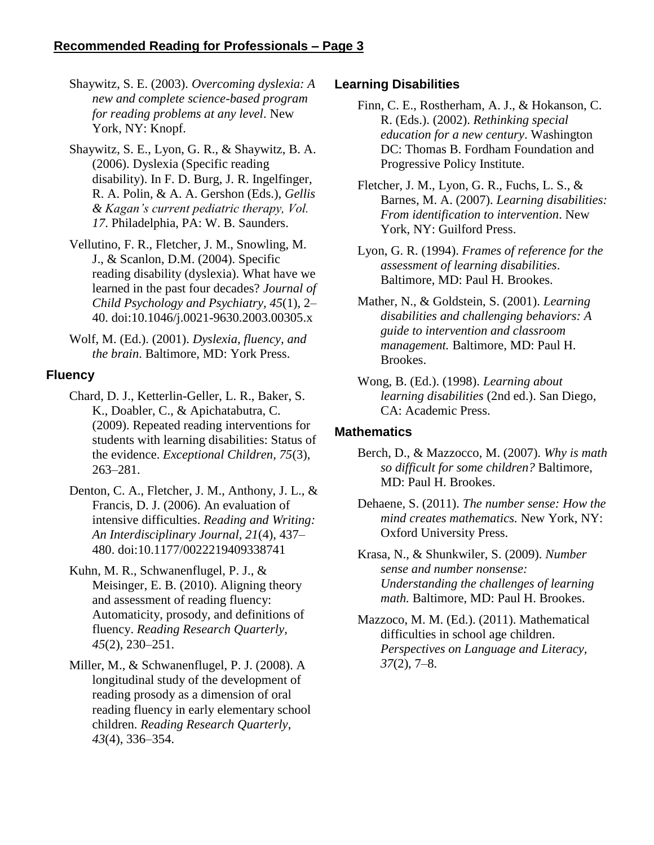### **Recommended Reading for Professionals – Page 3**

Shaywitz, S. E. (2003). *Overcoming dyslexia: A new and complete science-based program for reading problems at any level*. New York, NY: Knopf.

- Shaywitz, S. E., Lyon, G. R., & Shaywitz, B. A. (2006). Dyslexia (Specific reading disability). In F. D. Burg, J. R. Ingelfinger, R. A. Polin, & A. A. Gershon (Eds.), *Gellis & Kagan's current pediatric therapy, Vol. 17*. Philadelphia, PA: W. B. Saunders.
- Vellutino, F. R., Fletcher, J. M., Snowling, M. J., & Scanlon, D.M. (2004). Specific reading disability (dyslexia). What have we learned in the past four decades? *Journal of Child Psychology and Psychiatry, 45*(1), 2– 40. doi:10.1046/j.0021-9630.2003.00305.x
- Wolf, M. (Ed.). (2001). *Dyslexia, fluency, and the brain*. Baltimore, MD: York Press.

### **Fluency**

- Chard, D. J., Ketterlin-Geller, L. R., Baker, S. K., Doabler, C., & Apichatabutra, C. (2009). Repeated reading interventions for students with learning disabilities: Status of the evidence. *Exceptional Children, 75*(3), 263–281.
- Denton, C. A., Fletcher, J. M., Anthony, J. L., & Francis, D. J. (2006). An evaluation of intensive difficulties. *Reading and Writing: An Interdisciplinary Journal, 21*(4), 437– 480. doi:10.1177/0022219409338741
- Kuhn, M. R., Schwanenflugel, P. J., & Meisinger, E. B. (2010). Aligning theory and assessment of reading fluency: Automaticity, prosody, and definitions of fluency. *Reading Research Quarterly, 45*(2), 230–251.
- Miller, M., & Schwanenflugel, P. J. (2008). A longitudinal study of the development of reading prosody as a dimension of oral reading fluency in early elementary school children. *Reading Research Quarterly*, *43*(4), 336–354.

### **Learning Disabilities**

- Finn, C. E., Rostherham, A. J., & Hokanson, C. R. (Eds.). (2002). *Rethinking special education for a new century*. Washington DC: Thomas B. Fordham Foundation and Progressive Policy Institute.
- Fletcher, J. M., Lyon, G. R., Fuchs, L. S., & Barnes, M. A. (2007). *Learning disabilities: From identification to intervention*. New York, NY: Guilford Press.
- Lyon, G. R. (1994). *Frames of reference for the assessment of learning disabilities*. Baltimore, MD: Paul H. Brookes.
- Mather, N., & Goldstein, S. (2001). *Learning disabilities and challenging behaviors: A guide to intervention and classroom management.* Baltimore, MD: Paul H. Brookes.
- Wong, B. (Ed.). (1998). *Learning about learning disabilities* (2nd ed.). San Diego, CA: Academic Press.

### **Mathematics**

- Berch, D., & Mazzocco, M. (2007). *Why is math so difficult for some children?* Baltimore, MD: Paul H. Brookes.
- Dehaene, S. (2011). *The number sense: How the mind creates mathematics.* New York, NY: Oxford University Press.
- Krasa, N., & Shunkwiler, S. (2009). *Number sense and number nonsense: Understanding the challenges of learning math.* Baltimore, MD: Paul H. Brookes.
- Mazzoco, M. M. (Ed.). (2011). Mathematical difficulties in school age children. *Perspectives on Language and Literacy, 37*(2), 7–8.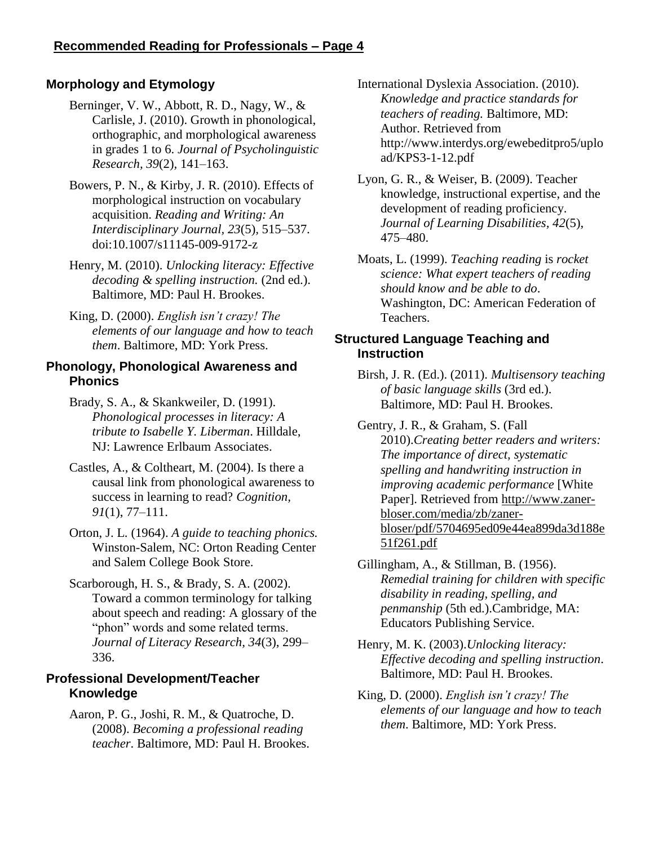# **Morphology and Etymology**

- Berninger, V. W., Abbott, R. D., Nagy, W., & Carlisle, J. (2010). Growth in phonological, orthographic, and morphological awareness in grades 1 to 6. *Journal of Psycholinguistic Research, 39*(2)*,* 141–163.
- Bowers, P. N., & Kirby, J. R. (2010). Effects of morphological instruction on vocabulary acquisition. *Reading and Writing: An Interdisciplinary Journal, 23*(5)*,* 515–537. doi:10.1007/s11145-009-9172-z
- Henry, M. (2010). *Unlocking literacy: Effective decoding & spelling instruction.* (2nd ed.). Baltimore, MD: Paul H. Brookes.
- King, D. (2000). *English isn't crazy! The elements of our language and how to teach them*. Baltimore, MD: York Press.

# **Phonology, Phonological Awareness and Phonics**

- Brady, S. A., & Skankweiler, D. (1991). *Phonological processes in literacy: A tribute to Isabelle Y. Liberman*. Hilldale, NJ: Lawrence Erlbaum Associates.
- Castles, A., & Coltheart, M. (2004). Is there a causal link from phonological awareness to success in learning to read? *Cognition, 91*(1), 77–111.
- Orton, J. L. (1964). *A guide to teaching phonics.* Winston-Salem, NC: Orton Reading Center and Salem College Book Store.
- Scarborough, H. S., & Brady, S. A. (2002). Toward a common terminology for talking about speech and reading: A glossary of the "phon" words and some related terms. *Journal of Literacy Research, 34*(3), 299– 336.

# **Professional Development/Teacher Knowledge**

Aaron, P. G., Joshi, R. M., & Quatroche, D. (2008). *Becoming a professional reading teacher*. Baltimore, MD: Paul H. Brookes.

- International Dyslexia Association. (2010). *Knowledge and practice standards for teachers of reading.* Baltimore, MD: Author. Retrieved from http://www.interdys.org/ewebeditpro5/uplo ad/KPS3-1-12.pdf
- Lyon, G. R., & Weiser, B. (2009). Teacher knowledge, instructional expertise, and the development of reading proficiency. *Journal of Learning Disabilities, 42*(5), 475–480.
- Moats, L. (1999). *Teaching reading* is *rocket science: What expert teachers of reading should know and be able to do*. Washington, DC: American Federation of Teachers.

# **Structured Language Teaching and Instruction**

Birsh, J. R. (Ed.). (2011). *Multisensory teaching of basic language skills* (3rd ed.). Baltimore, MD: Paul H. Brookes.

Gentry, J. R., & Graham, S. (Fall 2010).*Creating better readers and writers: The importance of direct, systematic spelling and handwriting instruction in improving academic performance* [White Paper]. Retrieved from [http://www.zaner](http://www.zaner-bloser.com/media/zb/zaner-bloser/pdf/5704695ed09e44ea899da3d188e51f261.pdf)[bloser.com/media/zb/zaner](http://www.zaner-bloser.com/media/zb/zaner-bloser/pdf/5704695ed09e44ea899da3d188e51f261.pdf)[bloser/pdf/5704695ed09e44ea899da3d188e](http://www.zaner-bloser.com/media/zb/zaner-bloser/pdf/5704695ed09e44ea899da3d188e51f261.pdf) [51f261.pdf](http://www.zaner-bloser.com/media/zb/zaner-bloser/pdf/5704695ed09e44ea899da3d188e51f261.pdf)

Gillingham, A., & Stillman, B. (1956). *Remedial training for children with specific disability in reading, spelling, and penmanship* (5th ed.).Cambridge, MA: Educators Publishing Service.

Henry, M. K. (2003).*Unlocking literacy: Effective decoding and spelling instruction*. Baltimore, MD: Paul H. Brookes.

King, D. (2000). *English isn't crazy! The elements of our language and how to teach them*. Baltimore, MD: York Press.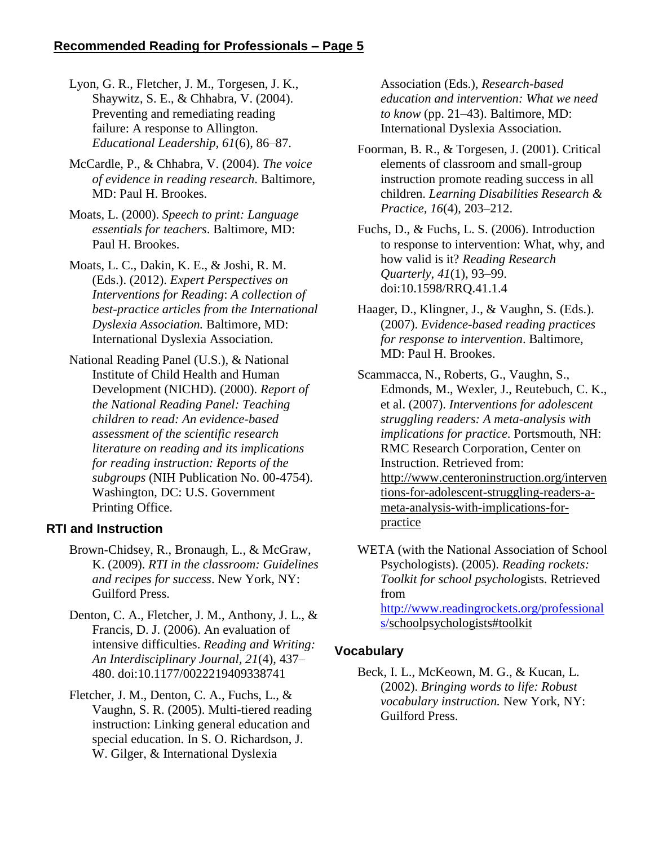- Lyon, G. R., Fletcher, J. M., Torgesen, J. K., Shaywitz, S. E., & Chhabra, V. (2004). Preventing and remediating reading failure: A response to Allington. *Educational Leadership, 61*(6), 86–87.
- McCardle, P., & Chhabra, V. (2004). *The voice of evidence in reading research*. Baltimore, MD: Paul H. Brookes.
- Moats, L. (2000). *Speech to print: Language essentials for teachers*. Baltimore, MD: Paul H. Brookes.
- Moats, L. C., Dakin, K. E., & Joshi, R. M. (Eds.). (2012). *Expert Perspectives on Interventions for Reading*: *A collection of best-practice articles from the International Dyslexia Association.* Baltimore, MD: International Dyslexia Association.
- National Reading Panel (U.S.), & National Institute of Child Health and Human Development (NICHD). (2000). *Report of the National Reading Panel: Teaching children to read: An evidence-based assessment of the scientific research literature on reading and its implications for reading instruction: Reports of the subgroups* (NIH Publication No. 00-4754). Washington, DC: U.S. Government Printing Office.

### **RTI and Instruction**

- Brown-Chidsey, R., Bronaugh, L., & McGraw, K. (2009). *RTI in the classroom: Guidelines and recipes for success*. New York, NY: Guilford Press.
- Denton, C. A., Fletcher, J. M., Anthony, J. L., & Francis, D. J. (2006). An evaluation of intensive difficulties. *Reading and Writing: An Interdisciplinary Journal, 21*(4), 437– 480. doi:10.1177/0022219409338741
- Fletcher, J. M., Denton, C. A., Fuchs, L., & Vaughn, S. R. (2005). Multi-tiered reading instruction: Linking general education and special education. In S. O. Richardson, J. W. Gilger, & International Dyslexia

Association (Eds.), *Research-based education and intervention: What we need to know* (pp. 21–43). Baltimore, MD: International Dyslexia Association.

- Foorman, B. R., & Torgesen, J. (2001). Critical elements of classroom and small-group instruction promote reading success in all children. *Learning Disabilities Research & Practice, 16*(4), 203–212.
- Fuchs, D., & Fuchs, L. S. (2006). Introduction to response to intervention: What, why, and how valid is it? *Reading Research Quarterly, 41*(1), 93–99. doi:10.1598/RRQ.41.1.4
- Haager, D., Klingner, J., & Vaughn, S. (Eds.). (2007). *Evidence-based reading practices for response to intervention*. Baltimore, MD: Paul H. Brookes.
- Scammacca, N., Roberts, G., Vaughn, S., Edmonds, M., Wexler, J., Reutebuch, C. K., et al. (2007). *Interventions for adolescent struggling readers: A meta-analysis with implications for practice*. Portsmouth, NH: RMC Research Corporation, Center on Instruction. Retrieved from: [http://www.centeroninstruction.org/interven](http://www.centeroninstruction.org/interventions-for-adolescent-struggling-readers-a-meta-analysis-with-implications-for-practice) [tions-for-adolescent-struggling-readers-a](http://www.centeroninstruction.org/interventions-for-adolescent-struggling-readers-a-meta-analysis-with-implications-for-practice)[meta-analysis-with-implications-for](http://www.centeroninstruction.org/interventions-for-adolescent-struggling-readers-a-meta-analysis-with-implications-for-practice)[practice](http://www.centeroninstruction.org/interventions-for-adolescent-struggling-readers-a-meta-analysis-with-implications-for-practice)
- WETA (with the National Association of School Psychologists). (2005). *Reading rockets: Toolkit for school psycholo*gists. Retrieved fro[m](http://www.readingrockets.org/professionals/) [http://www.readingrockets.org/professional](http://www.readingrockets.org/professionals/)

[s/s](http://www.readingrockets.org/professionals/)choolpsychologists#toolkit

## **Vocabulary**

Beck, I. L., McKeown, M. G., & Kucan, L. (2002). *Bringing words to life: Robust vocabulary instruction.* New York, NY: Guilford Press.